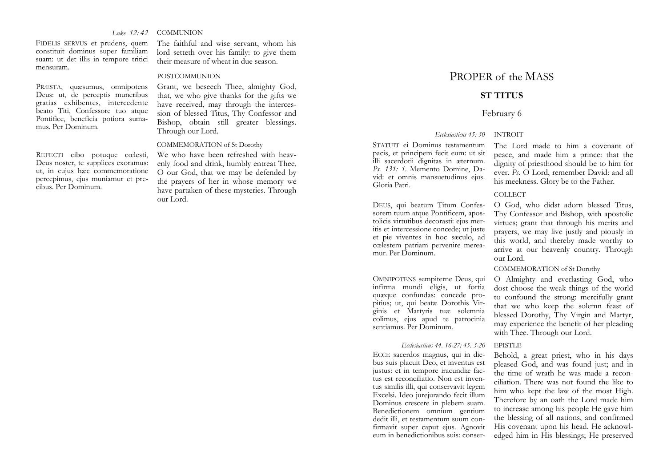#### *Luke 12: 42***COMMUNION**

FIDELIS SERVUS et prudens, quem constituit dominus super familiam suam: ut det illis in tempore tritici mensuram.

PRÆSTA, quæsumus, omnipotens Deus: ut, de perceptis muneribus gratias exhibentes, intercedente beato Titi, Confessore tuo atque Pontifice, beneficia potiora sumamus. Per Dominum.

REFECTI cibo potuque cœlesti, Deus noster, te supplices exoramus: ut, in cujus hæc commemoratione percepimus, ejus muniamur et precibus. Per Dominum.

The faithful and wise servant, whom his lord setteth over his family: to give them their measure of wheat in due season.

#### POSTCOMMUNION

Grant, we beseech Thee, almighty God, that, we who give thanks for the gifts we have received, may through the intercession of blessed Titus, Thy Confessor and Bishop, obtain still greater blessings. Through our Lord.

#### COMMEMORATION of St Dorothy

We who have been refreshed with heavenly food and drink, humbly entreat Thee, O our God, that we may be defended by the prayers of her in whose memory we have partaken of these mysteries. Through our Lord.

# PROPER of the MASS

## **ST TITUS**

## February 6

### *Ecclesiasticus 45: 30* INTROIT

STATUIT ei Dominus testamentum pacis, et principem fecit eum: ut sit illi sacerdotii dignitas in æternum. *Ps. 131: 1*. Memento Domine, David: et omnis mansuetudinus ejus. Gloria Patri.

DEUS, qui beatum Titum Confessorem tuum atque Pontificem, apostolicis virtutibus decorasti: ejus meritis et intercessione concede; ut juste et pie viventes in hoc sæculo, ad cœlestem patriam pervenire mereamur. Per Dominum.

OMNIPOTENS sempiterne Deus, qui infirma mundi eligis, ut fortia quæque confundas: concede propitius; ut, qui beatæ Dorothis Virginis et Martyris tuæ solemnia colimus, ejus apud te patrocinia sentiamus. Per Dominum.

### *Ecclesiasticus 44. 16-27; 45. 3-20* EPISTLE

ECCE sacerdos magnus, qui in diebus suis placuit Deo, et inventus est justus: et in tempore iracundiæ factus est reconciliatio. Non est inventus similis illi, qui conservavit legem Excelsi. Ideo jurejurando fecit illum Dominus crescere in plebem suam. Benedictionem omnium gentium dedit illi, et testamentum suum confirmavit super caput ejus. Agnovit eum in benedictionibus suis: conser-

The Lord made to him a covenant of peace, and made him a prince: that the dignity of priesthood should be to him for ever. *Ps.* O Lord, remember David: and all his meekness. Glory be to the Father.

#### COLLECT

O God, who didst adorn blessed Titus, Thy Confessor and Bishop, with apostolic virtues; grant that through his merits and prayers, we may live justly and piously in this world, and thereby made worthy to arrive at our heavenly country. Through our Lord.

#### COMMEMORATION of St Dorothy

O Almighty and everlasting God, who dost choose the weak things of the world to confound the strong: mercifully grant that we who keep the solemn feast of blessed Dorothy, Thy Virgin and Martyr, may experience the benefit of her pleading with Thee. Through our Lord.

Behold, a great priest, who in his days pleased God, and was found just; and in the time of wrath he was made a reconciliation. There was not found the like to<br>him who kept the law of the most High.<br>Therefore by an oath the Lord made him<br>to increase among his people He gave him<br>the blessing of all nations, and confirmed<br>His covenant upon edged him in His blessings; He preserved